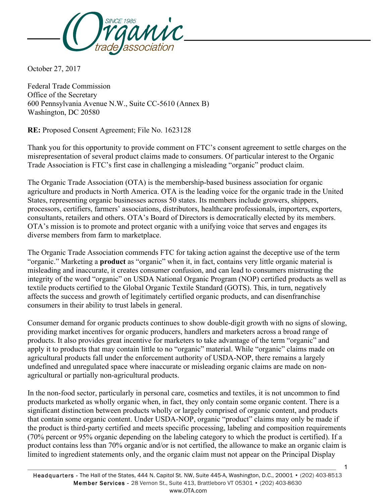

October 27, 2017

Federal Trade Commission Office of the Secretary 600 Pennsylvania Avenue N.W., Suite CC-5610 (Annex B) Washington, DC 20580

**RE:** Proposed Consent Agreement; File No. 1623128

Thank you for this opportunity to provide comment on FTC's consent agreement to settle charges on the misrepresentation of several product claims made to consumers. Of particular interest to the Organic Trade Association is FTC's first case in challenging a misleading "organic" product claim.

The Organic Trade Association (OTA) is the membership-based business association for organic agriculture and products in North America. OTA is the leading voice for the organic trade in the United States, representing organic businesses across 50 states. Its members include growers, shippers, processors, certifiers, farmers' associations, distributors, healthcare professionals, importers, exporters, consultants, retailers and others. OTA's Board of Directors is democratically elected by its members. OTA's mission is to promote and protect organic with a unifying voice that serves and engages its diverse members from farm to marketplace.

The Organic Trade Association commends FTC for taking action against the deceptive use of the term "organic." Marketing a **product** as "organic" when it, in fact, contains very little organic material is misleading and inaccurate, it creates consumer confusion, and can lead to consumers mistrusting the integrity of the word "organic" on USDA National Organic Program (NOP) certified products as well as textile products certified to the Global Organic Textile Standard (GOTS). This, in turn, negatively affects the success and growth of legitimately certified organic products, and can disenfranchise consumers in their ability to trust labels in general.

Consumer demand for organic products continues to show double-digit growth with no signs of slowing, providing market incentives for organic producers, handlers and marketers across a broad range of products. It also provides great incentive for marketers to take advantage of the term "organic" and apply it to products that may contain little to no "organic" material. While "organic" claims made on agricultural products fall under the enforcement authority of USDA-NOP, there remains a largely undefined and unregulated space where inaccurate or misleading organic claims are made on nonagricultural or partially non-agricultural products.

In the non-food sector, particularly in personal care, cosmetics and textiles, it is not uncommon to find products marketed as wholly organic when, in fact, they only contain some organic content. There is a significant distinction between products wholly or largely comprised of organic content, and products that contain some organic content. Under USDA-NOP, organic "product" claims may only be made if the product is third-party certified and meets specific processing, labeling and composition requirements (70% percent or 95% organic depending on the labeling category to which the product is certified). If a product contains less than 70% organic and/or is not certified, the allowance to make an organic claim is limited to ingredient statements only, and the organic claim must not appear on the Principal Display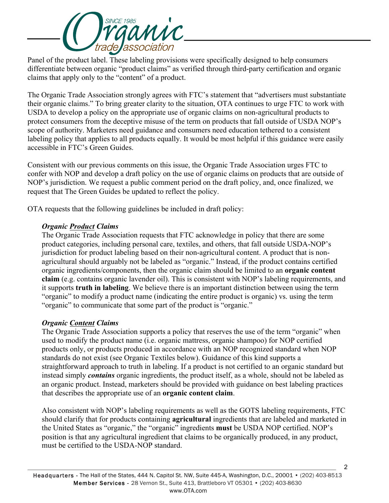

Panel of the product label. These labeling provisions were specifically designed to help consumers differentiate between organic "product claims" as verified through third-party certification and organic claims that apply only to the "content" of a product.

The Organic Trade Association strongly agrees with FTC's statement that "advertisers must substantiate their organic claims." To bring greater clarity to the situation, OTA continues to urge FTC to work with USDA to develop a policy on the appropriate use of organic claims on non-agricultural products to protect consumers from the deceptive misuse of the term on products that fall outside of USDA NOP's scope of authority. Marketers need guidance and consumers need education tethered to a consistent labeling policy that applies to all products equally. It would be most helpful if this guidance were easily accessible in FTC's Green Guides.

Consistent with our previous comments on this issue, the Organic Trade Association urges FTC to confer with NOP and develop a draft policy on the use of organic claims on products that are outside of NOP's jurisdiction. We request a public comment period on the draft policy, and, once finalized, we request that The Green Guides be updated to reflect the policy.

OTA requests that the following guidelines be included in draft policy:

## *Organic Product Claims*

The Organic Trade Association requests that FTC acknowledge in policy that there are some product categories, including personal care, textiles, and others, that fall outside USDA-NOP's jurisdiction for product labeling based on their non-agricultural content. A product that is nonagricultural should arguably not be labeled as "organic." Instead, if the product contains certified organic ingredients/components, then the organic claim should be limited to an **organic content claim** (e.g. contains organic lavender oil). This is consistent with NOP's labeling requirements, and it supports **truth in labeling**. We believe there is an important distinction between using the term "organic" to modify a product name (indicating the entire product is organic) vs. using the term "organic" to communicate that some part of the product is "organic."

## *Organic Content Claims*

The Organic Trade Association supports a policy that reserves the use of the term "organic" when used to modify the product name (i.e. organic mattress, organic shampoo) for NOP certified products only, or products produced in accordance with an NOP recognized standard when NOP standards do not exist (see Organic Textiles below). Guidance of this kind supports a straightforward approach to truth in labeling. If a product is not certified to an organic standard but instead simply *contains* organic ingredients, the product itself, as a whole, should not be labeled as an organic product. Instead, marketers should be provided with guidance on best labeling practices that describes the appropriate use of an **organic content claim**.

Also consistent with NOP's labeling requirements as well as the GOTS labeling requirements, FTC should clarify that for products containing **agricultural** ingredients that are labeled and marketed in the United States as "organic," the "organic" ingredients **must** be USDA NOP certified. NOP's position is that any agricultural ingredient that claims to be organically produced, in any product, must be certified to the USDA-NOP standard.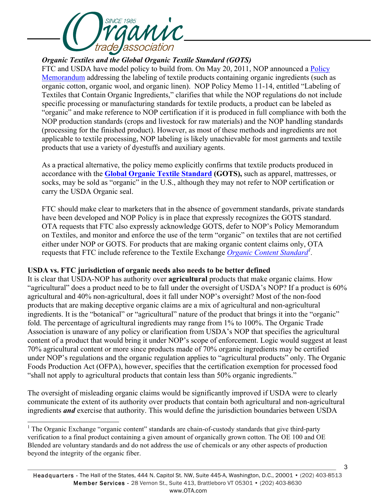

*Organic Textiles and the Global Organic Textile Standard (GOTS)*

FTC and USDA have model policy to build from. On May 20, 2011, NOP announced a Policy Memorandum addressing the labeling of textile products containing organic ingredients (such as organic cotton, organic wool, and organic linen). NOP Policy Memo 11-14, entitled "Labeling of Textiles that Contain Organic Ingredients," clarifies that while the NOP regulations do not include specific processing or manufacturing standards for textile products, a product can be labeled as "organic" and make reference to NOP certification if it is produced in full compliance with both the NOP production standards (crops and livestock for raw materials) and the NOP handling standards (processing for the finished product). However, as most of these methods and ingredients are not applicable to textile processing, NOP labeling is likely unachievable for most garments and textile products that use a variety of dyestuffs and auxiliary agents.

As a practical alternative, the policy memo explicitly confirms that textile products produced in accordance with the **Global Organic Textile Standard (GOTS),** such as apparel, mattresses, or socks, may be sold as "organic" in the U.S., although they may not refer to NOP certification or carry the USDA Organic seal.

FTC should make clear to marketers that in the absence of government standards, private standards have been developed and NOP Policy is in place that expressly recognizes the GOTS standard. OTA requests that FTC also expressly acknowledge GOTS, defer to NOP's Policy Memorandum on Textiles, and monitor and enforce the use of the term "organic" on textiles that are not certified either under NOP or GOTS. For products that are making organic content claims only, OTA requests that FTC include reference to the Textile Exchange *Organic Content Standard<sup>1</sup> .*

## **USDA vs. FTC jurisdiction of organic needs also needs to be better defined**

It is clear that USDA-NOP has authority over **agricultural** products that make organic claims. How "agricultural" does a product need to be to fall under the oversight of USDA's NOP? If a product is 60% agricultural and 40% non-agricultural, does it fall under NOP's oversight? Most of the non-food products that are making deceptive organic claims are a mix of agricultural and non-agricultural ingredients. It is the "botanical" or "agricultural" nature of the product that brings it into the "organic" fold. The percentage of agricultural ingredients may range from 1% to 100%. The Organic Trade Association is unaware of any policy or clarification from USDA's NOP that specifies the agricultural content of a product that would bring it under NOP's scope of enforcement. Logic would suggest at least 70% agricultural content or more since products made of 70% organic ingredients may be certified under NOP's regulations and the organic regulation applies to "agricultural products" only. The Organic Foods Production Act (OFPA), however, specifies that the certification exemption for processed food "shall not apply to agricultural products that contain less than 50% organic ingredients."

The oversight of misleading organic claims would be significantly improved if USDA were to clearly communicate the extent of its authority over products that contain both agricultural and non-agricultural ingredients *and* exercise that authority. This would define the jurisdiction boundaries between USDA

<sup>&</sup>lt;sup>1</sup> The Organic Exchange "organic content" standards are chain-of-custody standards that give third-party verification to a final product containing a given amount of organically grown cotton. The OE 100 and OE Blended are voluntary standards and do not address the use of chemicals or any other aspects of production beyond the integrity of the organic fiber.